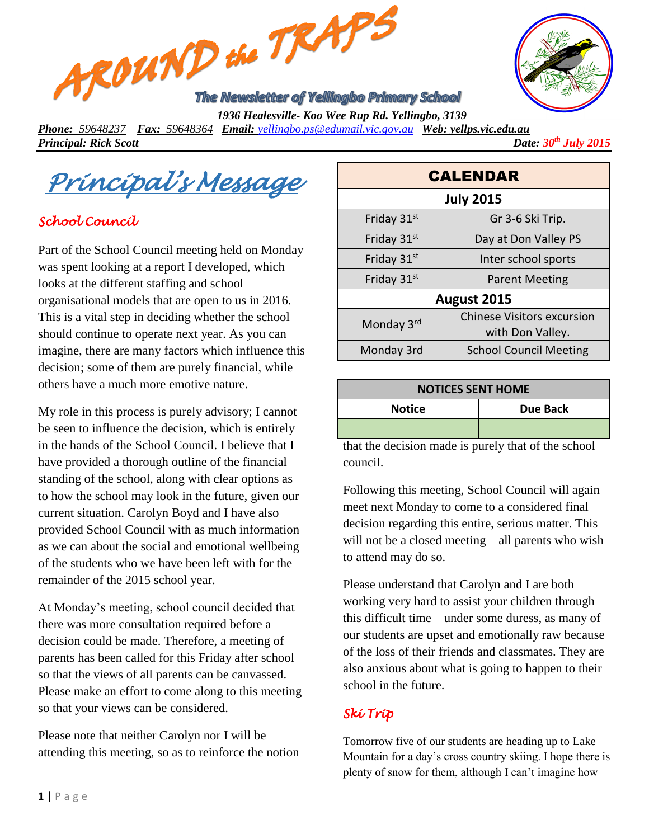



 *1936 Healesville- Koo Wee Rup Rd. Yellingbo, 3139 Phone: 59648237 Fax: 59648364 Email: [yellingbo.ps@edumail.vic.gov.au](mailto:yellingbo.ps@edumail.vic.gov.au) Web: yellps.vic.edu.au Principal: Rick Scott Date:*  $30^{th}$  *July* 2015

*Principal's Message* 

## *School Council*

Part of the School Council meeting held on Monday was spent looking at a report I developed, which looks at the different staffing and school organisational models that are open to us in 2016. This is a vital step in deciding whether the school should continue to operate next year. As you can imagine, there are many factors which influence this decision; some of them are purely financial, while others have a much more emotive nature.

My role in this process is purely advisory; I cannot be seen to influence the decision, which is entirely in the hands of the School Council. I believe that I have provided a thorough outline of the financial standing of the school, along with clear options as to how the school may look in the future, given our current situation. Carolyn Boyd and I have also provided School Council with as much information as we can about the social and emotional wellbeing of the students who we have been left with for the remainder of the 2015 school year.

At Monday's meeting, school council decided that there was more consultation required before a decision could be made. Therefore, a meeting of parents has been called for this Friday after school so that the views of all parents can be canvassed. Please make an effort to come along to this meeting so that your views can be considered.

Please note that neither Carolyn nor I will be attending this meeting, so as to reinforce the notion

| <b>CALENDAR</b>  |                                                       |  |
|------------------|-------------------------------------------------------|--|
| <b>July 2015</b> |                                                       |  |
| Friday 31st      | Gr 3-6 Ski Trip.                                      |  |
| Friday 31st      | Day at Don Valley PS                                  |  |
| Friday 31st      | Inter school sports                                   |  |
| Friday 31st      | <b>Parent Meeting</b>                                 |  |
| August 2015      |                                                       |  |
| Monday 3rd       | <b>Chinese Visitors excursion</b><br>with Don Valley. |  |
| Monday 3rd       | <b>School Council Meeting</b>                         |  |

# **NOTICES SENT HOME Notice Due Back**

that the decision made is purely that of the school council.

Following this meeting, School Council will again meet next Monday to come to a considered final decision regarding this entire, serious matter. This will not be a closed meeting – all parents who wish to attend may do so.

Please understand that Carolyn and I are both working very hard to assist your children through this difficult time – under some duress, as many of our students are upset and emotionally raw because of the loss of their friends and classmates. They are also anxious about what is going to happen to their school in the future.

### *Ski Trip*

Tomorrow five of our students are heading up to Lake Mountain for a day's cross country skiing. I hope there is plenty of snow for them, although I can't imagine how